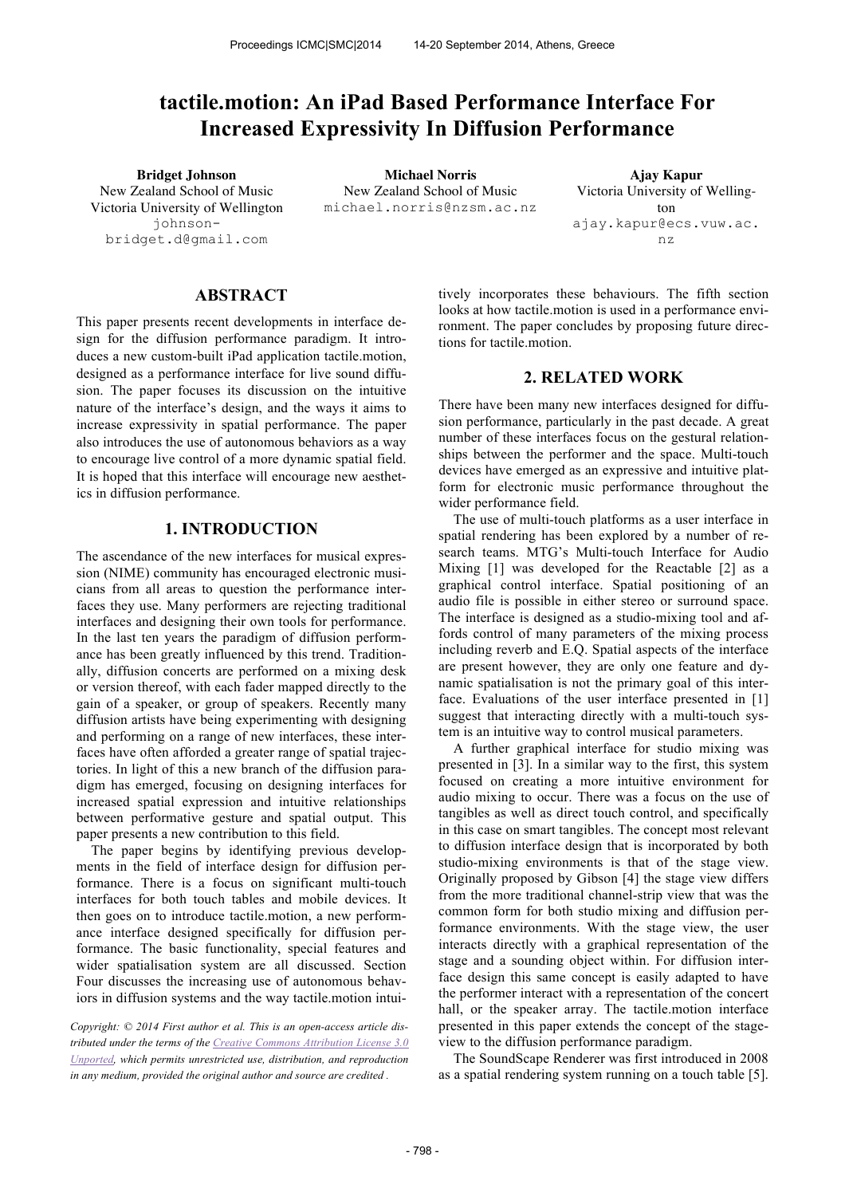# **tactile.motion: An iPad Based Performance Interface For Increased Expressivity In Diffusion Performance**

New Zealand School of Music Victoria University of Wellington johnsonbridget.d@gmail.com

**Bridget Johnson Michael Norris Ajay Kapur** New Zealand School of Music michael.norris@nzsm.ac.nz

Victoria University of Wellington ajay.kapur@ecs.vuw.ac. nz

# **ABSTRACT**

This paper presents recent developments in interface design for the diffusion performance paradigm. It introduces a new custom-built iPad application tactile.motion, designed as a performance interface for live sound diffusion. The paper focuses its discussion on the intuitive nature of the interface's design, and the ways it aims to increase expressivity in spatial performance. The paper also introduces the use of autonomous behaviors as a way to encourage live control of a more dynamic spatial field. It is hoped that this interface will encourage new aesthetics in diffusion performance.

## **1. INTRODUCTION**

The ascendance of the new interfaces for musical expression (NIME) community has encouraged electronic musicians from all areas to question the performance interfaces they use. Many performers are rejecting traditional interfaces and designing their own tools for performance. In the last ten years the paradigm of diffusion performance has been greatly influenced by this trend. Traditionally, diffusion concerts are performed on a mixing desk or version thereof, with each fader mapped directly to the gain of a speaker, or group of speakers. Recently many diffusion artists have being experimenting with designing and performing on a range of new interfaces, these interfaces have often afforded a greater range of spatial trajectories. In light of this a new branch of the diffusion paradigm has emerged, focusing on designing interfaces for increased spatial expression and intuitive relationships between performative gesture and spatial output. This paper presents a new contribution to this field.

The paper begins by identifying previous developments in the field of interface design for diffusion performance. There is a focus on significant multi-touch interfaces for both touch tables and mobile devices. It then goes on to introduce tactile.motion, a new performance interface designed specifically for diffusion performance. The basic functionality, special features and wider spatialisation system are all discussed. Section Four discusses the increasing use of autonomous behaviors in diffusion systems and the way tactile.motion intui-

*Copyright: © 2014 First author et al. This is an open-access article distributed under the terms of the Creative Commons Attribution License 3.0 Unported, which permits unrestricted use, distribution, and reproduction in any medium, provided the original author and source are credited .*

tively incorporates these behaviours. The fifth section looks at how tactile.motion is used in a performance environment. The paper concludes by proposing future directions for tactile.motion.

#### **2. RELATED WORK**

There have been many new interfaces designed for diffusion performance, particularly in the past decade. A great number of these interfaces focus on the gestural relationships between the performer and the space. Multi-touch devices have emerged as an expressive and intuitive platform for electronic music performance throughout the wider performance field.

The use of multi-touch platforms as a user interface in spatial rendering has been explored by a number of research teams. MTG's Multi-touch Interface for Audio Mixing [1] was developed for the Reactable [2] as a graphical control interface. Spatial positioning of an audio file is possible in either stereo or surround space. The interface is designed as a studio-mixing tool and affords control of many parameters of the mixing process including reverb and E.Q. Spatial aspects of the interface are present however, they are only one feature and dynamic spatialisation is not the primary goal of this interface. Evaluations of the user interface presented in [1] suggest that interacting directly with a multi-touch system is an intuitive way to control musical parameters.

A further graphical interface for studio mixing was presented in [3]. In a similar way to the first, this system focused on creating a more intuitive environment for audio mixing to occur. There was a focus on the use of tangibles as well as direct touch control, and specifically in this case on smart tangibles. The concept most relevant to diffusion interface design that is incorporated by both studio-mixing environments is that of the stage view. Originally proposed by Gibson [4] the stage view differs from the more traditional channel-strip view that was the common form for both studio mixing and diffusion performance environments. With the stage view, the user interacts directly with a graphical representation of the stage and a sounding object within. For diffusion interface design this same concept is easily adapted to have the performer interact with a representation of the concert hall, or the speaker array. The tactile.motion interface presented in this paper extends the concept of the stageview to the diffusion performance paradigm.

The SoundScape Renderer was first introduced in 2008 as a spatial rendering system running on a touch table [5].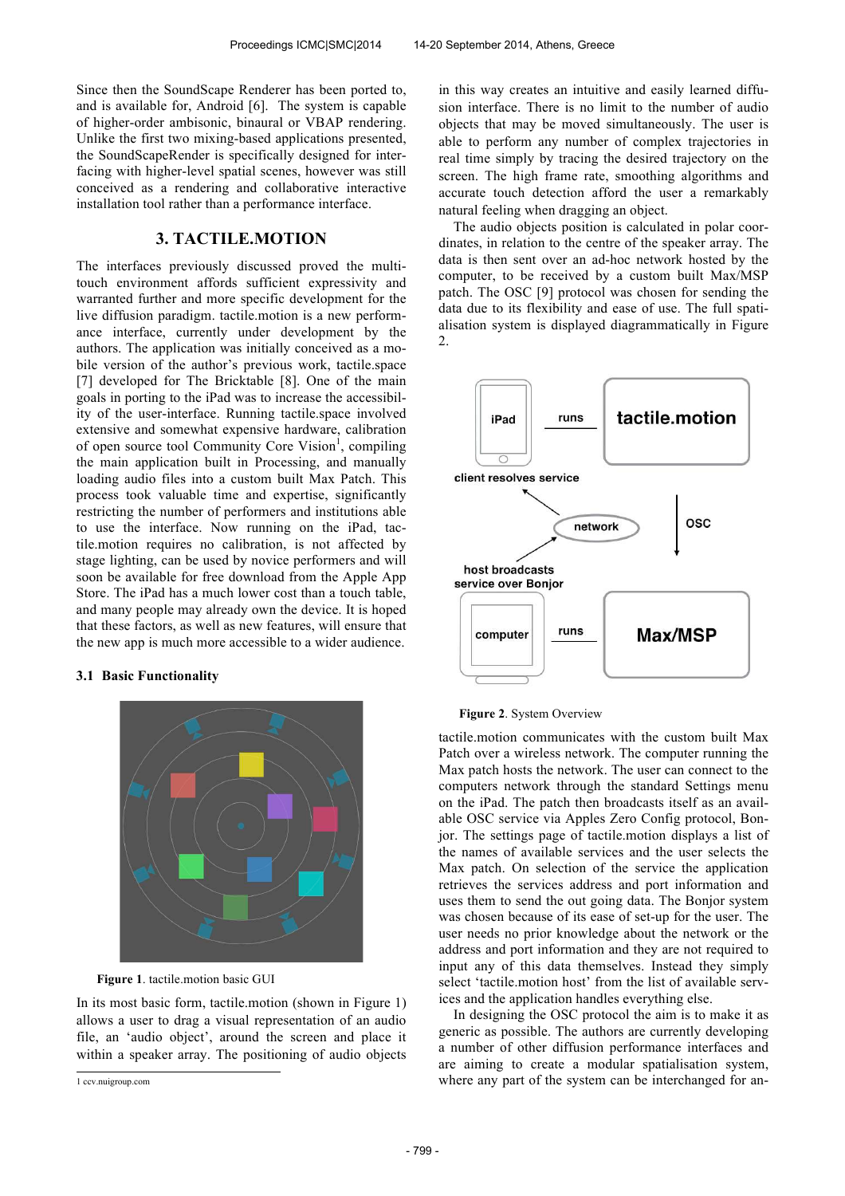Since then the SoundScape Renderer has been ported to, and is available for, Android [6]. The system is capable of higher-order ambisonic, binaural or VBAP rendering. Unlike the first two mixing-based applications presented, the SoundScapeRender is specifically designed for interfacing with higher-level spatial scenes, however was still conceived as a rendering and collaborative interactive installation tool rather than a performance interface.

# **3. TACTILE.MOTION**

The interfaces previously discussed proved the multitouch environment affords sufficient expressivity and warranted further and more specific development for the live diffusion paradigm. tactile.motion is a new performance interface, currently under development by the authors. The application was initially conceived as a mobile version of the author's previous work, tactile.space [7] developed for The Bricktable [8]. One of the main goals in porting to the iPad was to increase the accessibility of the user-interface. Running tactile.space involved extensive and somewhat expensive hardware, calibration of open source tool Community Core Vision<sup>1</sup>, compiling the main application built in Processing, and manually loading audio files into a custom built Max Patch. This process took valuable time and expertise, significantly restricting the number of performers and institutions able to use the interface. Now running on the iPad, tactile.motion requires no calibration, is not affected by stage lighting, can be used by novice performers and will soon be available for free download from the Apple App Store. The iPad has a much lower cost than a touch table, and many people may already own the device. It is hoped that these factors, as well as new features, will ensure that the new app is much more accessible to a wider audience.

#### **3.1 Basic Functionality**



**Figure 1**. tactile.motion basic GUI

In its most basic form, tactile.motion (shown in Figure 1) allows a user to drag a visual representation of an audio file, an 'audio object', around the screen and place it within a speaker array. The positioning of audio objects in this way creates an intuitive and easily learned diffusion interface. There is no limit to the number of audio objects that may be moved simultaneously. The user is able to perform any number of complex trajectories in real time simply by tracing the desired trajectory on the screen. The high frame rate, smoothing algorithms and accurate touch detection afford the user a remarkably natural feeling when dragging an object.

The audio objects position is calculated in polar coordinates, in relation to the centre of the speaker array. The data is then sent over an ad-hoc network hosted by the computer, to be received by a custom built Max/MSP patch. The OSC [9] protocol was chosen for sending the data due to its flexibility and ease of use. The full spatialisation system is displayed diagrammatically in Figure 2.



#### **Figure 2**. System Overview

tactile.motion communicates with the custom built Max Patch over a wireless network. The computer running the Max patch hosts the network. The user can connect to the computers network through the standard Settings menu on the iPad. The patch then broadcasts itself as an available OSC service via Apples Zero Config protocol, Bonjor. The settings page of tactile.motion displays a list of the names of available services and the user selects the Max patch. On selection of the service the application retrieves the services address and port information and uses them to send the out going data. The Bonjor system was chosen because of its ease of set-up for the user. The user needs no prior knowledge about the network or the address and port information and they are not required to input any of this data themselves. Instead they simply select 'tactile.motion host' from the list of available services and the application handles everything else.

In designing the OSC protocol the aim is to make it as generic as possible. The authors are currently developing a number of other diffusion performance interfaces and are aiming to create a modular spatialisation system, where any part of the system can be interchanged for an-

 1 ccv.nuigroup.com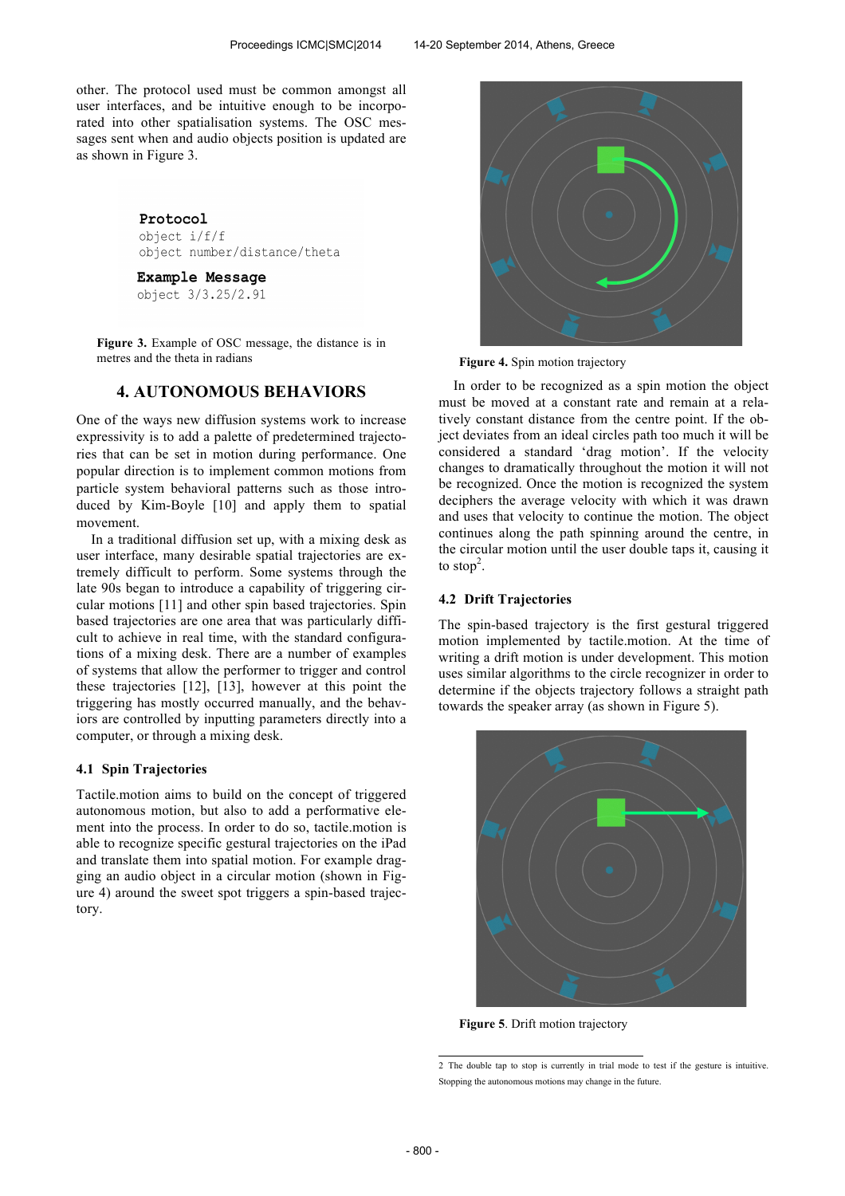other. The protocol used must be common amongst all user interfaces, and be intuitive enough to be incorporated into other spatialisation systems. The OSC messages sent when and audio objects position is updated are as shown in Figure 3.

#### Protocol

object i/f/f object number/distance/theta

**Example Message** 

object 3/3.25/2.91

**Figure 3.** Example of OSC message, the distance is in metres and the theta in radians

# **4. AUTONOMOUS BEHAVIORS**

One of the ways new diffusion systems work to increase expressivity is to add a palette of predetermined trajectories that can be set in motion during performance. One popular direction is to implement common motions from particle system behavioral patterns such as those introduced by Kim-Boyle [10] and apply them to spatial movement.

In a traditional diffusion set up, with a mixing desk as user interface, many desirable spatial trajectories are extremely difficult to perform. Some systems through the late 90s began to introduce a capability of triggering circular motions [11] and other spin based trajectories. Spin based trajectories are one area that was particularly difficult to achieve in real time, with the standard configurations of a mixing desk. There are a number of examples of systems that allow the performer to trigger and control these trajectories [12], [13], however at this point the triggering has mostly occurred manually, and the behaviors are controlled by inputting parameters directly into a computer, or through a mixing desk.

#### **4.1 Spin Trajectories**

Tactile.motion aims to build on the concept of triggered autonomous motion, but also to add a performative element into the process. In order to do so, tactile.motion is able to recognize specific gestural trajectories on the iPad and translate them into spatial motion. For example dragging an audio object in a circular motion (shown in Figure 4) around the sweet spot triggers a spin-based trajectory.



**Figure 4.** Spin motion trajectory

In order to be recognized as a spin motion the object must be moved at a constant rate and remain at a relatively constant distance from the centre point. If the object deviates from an ideal circles path too much it will be considered a standard 'drag motion'. If the velocity changes to dramatically throughout the motion it will not be recognized. Once the motion is recognized the system deciphers the average velocity with which it was drawn and uses that velocity to continue the motion. The object continues along the path spinning around the centre, in the circular motion until the user double taps it, causing it to stop<sup>2</sup>.

## **4.2 Drift Trajectories**

The spin-based trajectory is the first gestural triggered motion implemented by tactile.motion. At the time of writing a drift motion is under development. This motion uses similar algorithms to the circle recognizer in order to determine if the objects trajectory follows a straight path towards the speaker array (as shown in Figure 5).



**Figure 5**. Drift motion trajectory

 2 The double tap to stop is currently in trial mode to test if the gesture is intuitive. Stopping the autonomous motions may change in the future.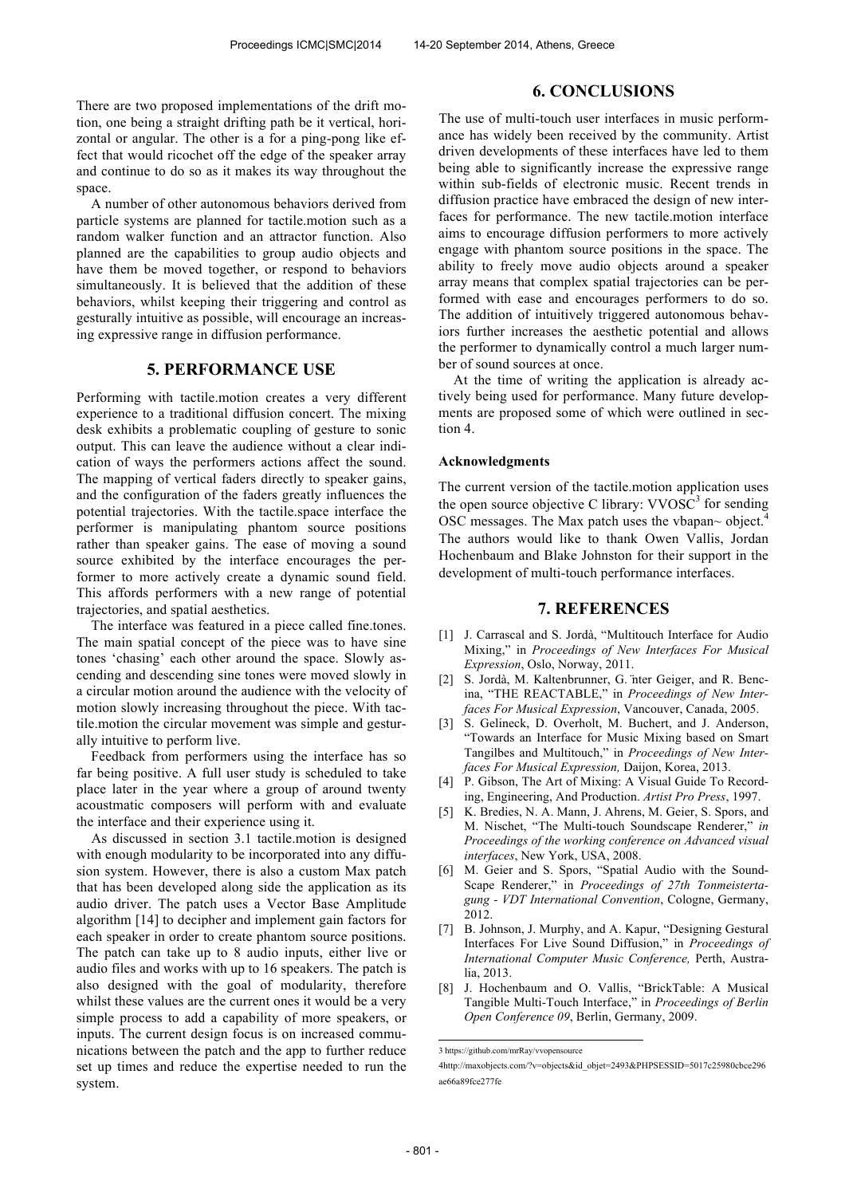There are two proposed implementations of the drift motion, one being a straight drifting path be it vertical, horizontal or angular. The other is a for a ping-pong like effect that would ricochet off the edge of the speaker array and continue to do so as it makes its way throughout the space.

A number of other autonomous behaviors derived from particle systems are planned for tactile.motion such as a random walker function and an attractor function. Also planned are the capabilities to group audio objects and have them be moved together, or respond to behaviors simultaneously. It is believed that the addition of these behaviors, whilst keeping their triggering and control as gesturally intuitive as possible, will encourage an increasing expressive range in diffusion performance.

# **5. PERFORMANCE USE**

Performing with tactile.motion creates a very different experience to a traditional diffusion concert. The mixing desk exhibits a problematic coupling of gesture to sonic output. This can leave the audience without a clear indication of ways the performers actions affect the sound. The mapping of vertical faders directly to speaker gains, and the configuration of the faders greatly influences the potential trajectories. With the tactile.space interface the performer is manipulating phantom source positions rather than speaker gains. The ease of moving a sound source exhibited by the interface encourages the performer to more actively create a dynamic sound field. This affords performers with a new range of potential trajectories, and spatial aesthetics.

The interface was featured in a piece called fine.tones. The main spatial concept of the piece was to have sine tones 'chasing' each other around the space. Slowly ascending and descending sine tones were moved slowly in a circular motion around the audience with the velocity of motion slowly increasing throughout the piece. With tactile.motion the circular movement was simple and gesturally intuitive to perform live.

Feedback from performers using the interface has so far being positive. A full user study is scheduled to take place later in the year where a group of around twenty acoustmatic composers will perform with and evaluate the interface and their experience using it.

As discussed in section 3.1 tactile.motion is designed with enough modularity to be incorporated into any diffusion system. However, there is also a custom Max patch that has been developed along side the application as its audio driver. The patch uses a Vector Base Amplitude algorithm [14] to decipher and implement gain factors for each speaker in order to create phantom source positions. The patch can take up to 8 audio inputs, either live or audio files and works with up to 16 speakers. The patch is also designed with the goal of modularity, therefore whilst these values are the current ones it would be a very simple process to add a capability of more speakers, or inputs. The current design focus is on increased communications between the patch and the app to further reduce set up times and reduce the expertise needed to run the system.

# **6. CONCLUSIONS**

The use of multi-touch user interfaces in music performance has widely been received by the community. Artist driven developments of these interfaces have led to them being able to significantly increase the expressive range within sub-fields of electronic music. Recent trends in diffusion practice have embraced the design of new interfaces for performance. The new tactile.motion interface aims to encourage diffusion performers to more actively engage with phantom source positions in the space. The ability to freely move audio objects around a speaker array means that complex spatial trajectories can be performed with ease and encourages performers to do so. The addition of intuitively triggered autonomous behaviors further increases the aesthetic potential and allows the performer to dynamically control a much larger number of sound sources at once.

At the time of writing the application is already actively being used for performance. Many future developments are proposed some of which were outlined in section 4.

#### **Acknowledgments**

The current version of the tactile.motion application uses the open source objective C library:  $VVOSC<sup>3</sup>$  for sending OSC messages. The Max patch uses the vbapan~ object.<sup>4</sup> The authors would like to thank Owen Vallis, Jordan Hochenbaum and Blake Johnston for their support in the development of multi-touch performance interfaces.

### **7. REFERENCES**

- [1] J. Carrascal and S. Jordà, "Multitouch Interface for Audio Mixing," in *Proceedings of New Interfaces For Musical Expression*, Oslo, Norway, 2011.
- [2] S. Jordà, M. Kaltenbrunner, G. ̈nter Geiger, and R. Bencina, "THE REACTABLE," in *Proceedings of New Interfaces For Musical Expression*, Vancouver, Canada, 2005.
- [3] S. Gelineck, D. Overholt, M. Buchert, and J. Anderson, "Towards an Interface for Music Mixing based on Smart Tangilbes and Multitouch," in *Proceedings of New Interfaces For Musical Expression,* Daijon, Korea, 2013.
- [4] P. Gibson, The Art of Mixing: A Visual Guide To Recording, Engineering, And Production. *Artist Pro Press*, 1997.
- [5] K. Bredies, N. A. Mann, J. Ahrens, M. Geier, S. Spors, and M. Nischet, "The Multi-touch Soundscape Renderer," *in Proceedings of the working conference on Advanced visual interfaces*, New York, USA, 2008.
- [6] M. Geier and S. Spors, "Spatial Audio with the Sound-Scape Renderer," in *Proceedings of 27th Tonmeistertagung - VDT International Convention*, Cologne, Germany, 2012.
- [7] B. Johnson, J. Murphy, and A. Kapur, "Designing Gestural Interfaces For Live Sound Diffusion," in *Proceedings of International Computer Music Conference,* Perth, Australia, 2013.
- [8] J. Hochenbaum and O. Vallis, "BrickTable: A Musical Tangible Multi-Touch Interface," in *Proceedings of Berlin Open Conference 09*, Berlin, Germany, 2009.

4http://maxobjects.com/?v=objects&id\_objet=2493&PHPSESSID=5017c25980cbce296 ae66a89fce277fe

 3 https://github.com/mrRay/vvopensource